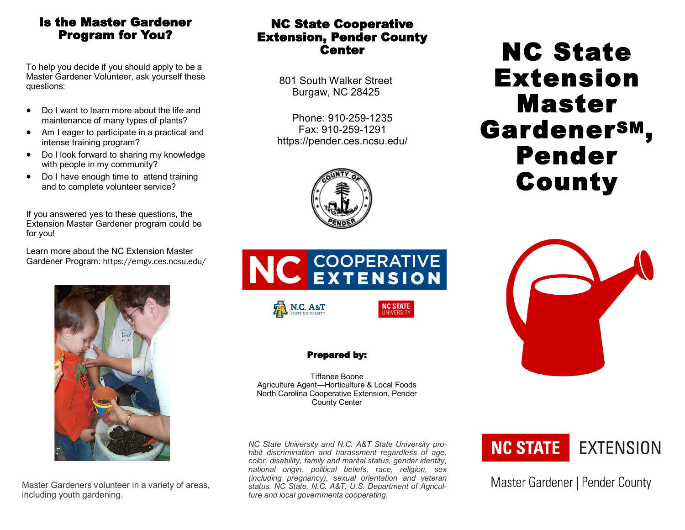## Is the Master Gardener Program for You?

To help you decide if you should apply to be a Master Gardener Volunteer, ask yourself these questions:

- Do I want to learn more about the life and maintenance of many types of plants?
- Am I eager to participate in a practical and intense training program?
- Do I look forward to sharing my knowledge with people in my community?
- Do I have enough time to attend training and to complete volunteer service?

If you answered yes to these questions, the Extension Master Gardener program could be for you!

Learn more about the NC Extension Master Gardener Program: https://emgv.ces.ncsu.edu/



Master Gardeners volunteer in a variety of areas, including youth gardening.

## NC State Cooperative Extension, Pender County **Center**

801 South Walker Street Burgaw, NC 28425

Phone: 910-259-1235 Fax: 910-259-1291 https://pender.ces.ncsu.edu/





## Prepared by:

Tiffanee Boone Agriculture Agent—Horticulture & Local Foods North Carolina Cooperative Extension, Pender County Center

*NC State University and N.C. A&T State University prohibit discrimination and harassment regardless of age, color, disability, family and marital status, gender identity, national origin, political beliefs, race, religion, sex (including pregnancy), sexual orientation and veteran status. NC State, N.C. A&T, U.S. Department of Agriculture and local governments cooperating.*



Master Gardener | Pender County

# NC State Extension Master GardenerSM, Pender County